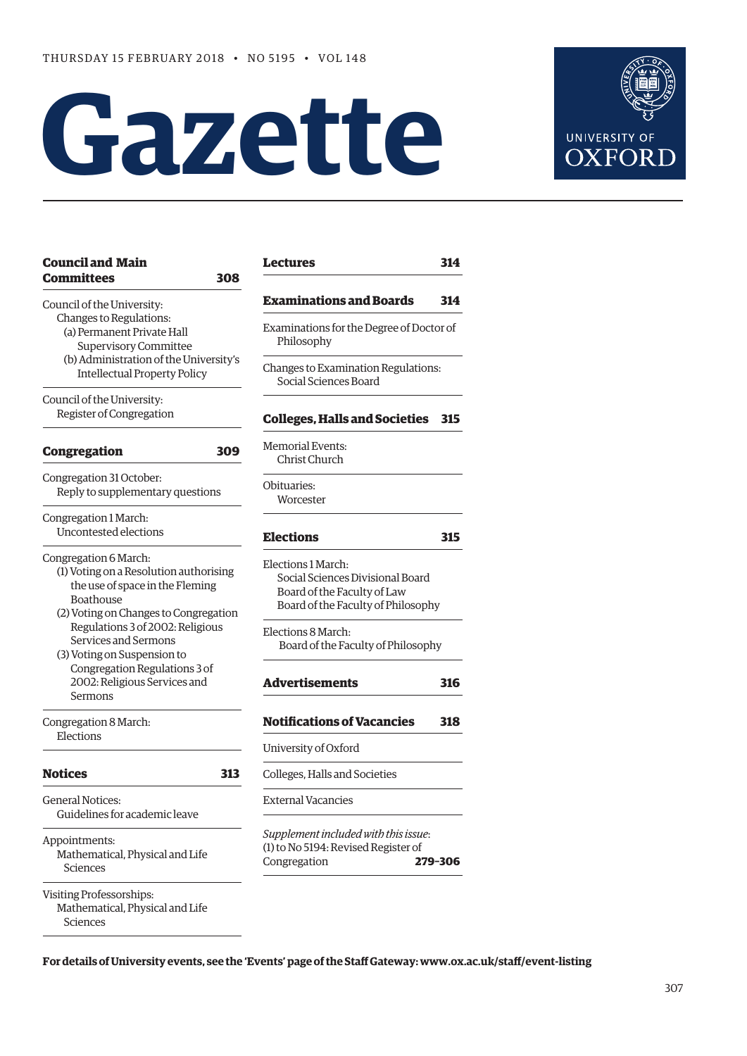# **Gazette**



| <b>Council and Main</b><br><b>Committees</b><br>308                                                                                                      | <b>Lectures</b>                                                                                                             | 314 |  |
|----------------------------------------------------------------------------------------------------------------------------------------------------------|-----------------------------------------------------------------------------------------------------------------------------|-----|--|
| Council of the University:                                                                                                                               | <b>Examinations and Boards</b>                                                                                              | 314 |  |
| Changes to Regulations:<br>(a) Permanent Private Hall<br><b>Supervisory Committee</b>                                                                    | Examinations for the Degree of Doctor of<br>Philosophy<br>Changes to Examination Regulations:<br>Social Sciences Board      |     |  |
| (b) Administration of the University's<br><b>Intellectual Property Policy</b>                                                                            |                                                                                                                             |     |  |
| Council of the University:<br>Register of Congregation                                                                                                   | <b>Colleges, Halls and Societies</b>                                                                                        | 315 |  |
| <b>Congregation</b><br>309                                                                                                                               | <b>Memorial Events:</b><br>Christ Church                                                                                    |     |  |
| Congregation 31 October:<br>Reply to supplementary questions                                                                                             | Obituaries:<br>Worcester                                                                                                    |     |  |
| Congregation 1 March:<br>Uncontested elections                                                                                                           | <b>Elections</b>                                                                                                            | 315 |  |
| Congregation 6 March:<br>(1) Voting on a Resolution authorising<br>the use of space in the Fleming<br>Boathouse<br>(2) Voting on Changes to Congregation | Elections 1 March:<br>Social Sciences Divisional Board<br>Board of the Faculty of Law<br>Board of the Faculty of Philosophy |     |  |
| Regulations 3 of 2002: Religious<br>Services and Sermons<br>(3) Voting on Suspension to                                                                  | Elections 8 March:<br>Board of the Faculty of Philosophy                                                                    |     |  |
| Congregation Regulations 3 of<br>2002: Religious Services and<br>Sermons                                                                                 | <b>Advertisements</b>                                                                                                       | 316 |  |
| Congregation 8 March:                                                                                                                                    | <b>Notifications of Vacancies</b>                                                                                           | 318 |  |
| Elections                                                                                                                                                | University of Oxford                                                                                                        |     |  |
| <b>Notices</b><br>313                                                                                                                                    | Colleges, Halls and Societies                                                                                               |     |  |
| <b>General Notices:</b><br>Guidelines for academic leave                                                                                                 | <b>External Vacancies</b>                                                                                                   |     |  |
| Appointments:<br>Mathematical, Physical and Life<br>Sciences                                                                                             | Supplement included with this issue:<br>(1) to No 5194: Revised Register of<br>Congregation<br>279-306                      |     |  |
| Visiting Professorships:<br>Mathematical, Physical and Life<br>Sciences                                                                                  |                                                                                                                             |     |  |

**For details of University events, see the 'Events' page of the Staff Gateway: [www.ox.ac.uk/staff/event-listing](http://www.ox.ac.uk/staff/event-listing)**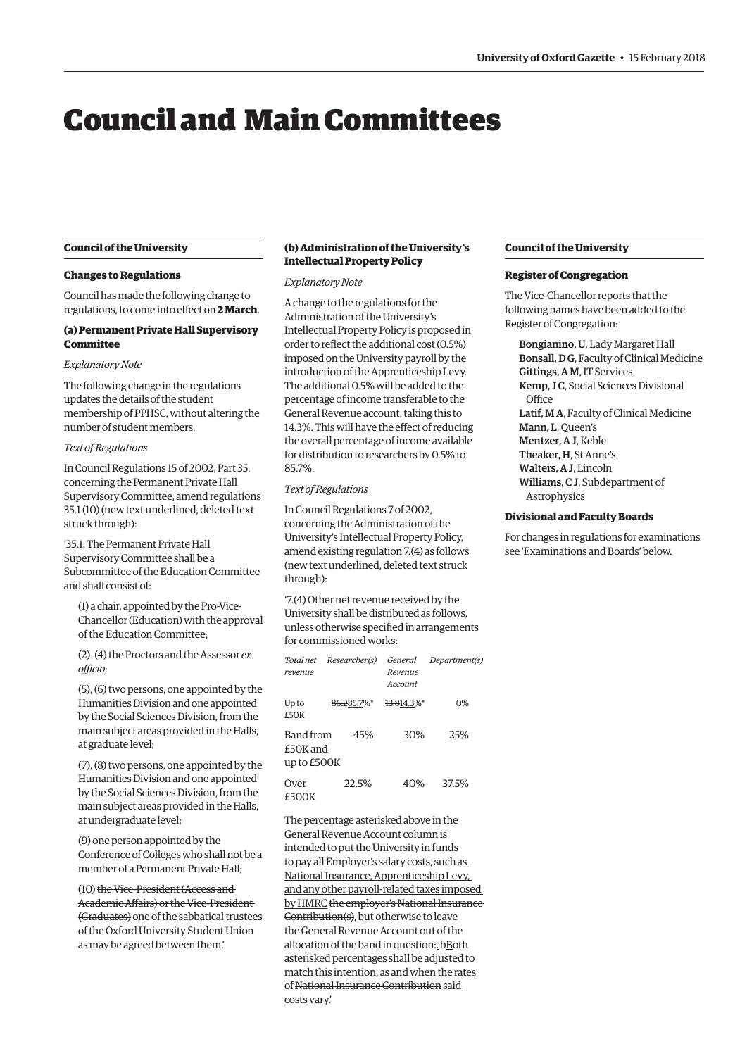## <span id="page-1-0"></span>Council and Main Committees

#### **Council of the University**

#### **Changes to Regulations**

Council has made the following change to regulations, to come into effect on **2 March**.

#### **(a) Permanent Private Hall Supervisory Committee**

#### *Explanatory Note*

The following change in the regulations updates the details of the student membership of PPHSC, without altering the number of student members.

#### *Text of Regulations*

In Council Regulations 15 of 2002, Part 35, concerning the Permanent Private Hall Supervisory Committee, amend regulations 35.1 (10) (new text underlined, deleted text struck through):

'35.1. The Permanent Private Hall Supervisory Committee shall be a Subcommittee of the Education Committee and shall consist of:

(1) a chair, appointed by the Pro-Vice-Chancellor (Education) with the approval of the Education Committee;

(2)–(4) the Proctors and the Assessor *ex officio*;

(5), (6) two persons, one appointed by the Humanities Division and one appointed by the Social Sciences Division, from the main subject areas provided in the Halls, at graduate level;

(7), (8) two persons, one appointed by the Humanities Division and one appointed by the Social Sciences Division, from the main subject areas provided in the Halls, at undergraduate level;

(9) one person appointed by the Conference of Colleges who shall not be a member of a Permanent Private Hall;

(10) the Vice-President (Access and Academic Affairs) or the Vice-President (Graduates) one of the sabbatical trustees of the Oxford University Student Union as may be agreed between them.'

#### **(b) Administration of the University's Intellectual Property Policy**

#### *Explanatory Note*

A change to the regulations for the Administration of the University's Intellectual Property Policy is proposed in order to reflect the additional cost (0.5%) imposed on the University payroll by the introduction of the Apprenticeship Levy. The additional 0.5% will be added to the percentage of income transferable to the General Revenue account, taking this to 14.3%. This will have the effect of reducing the overall percentage of income available for distribution to researchers by 0.5% to 85.7%.

#### *Text of Regulations*

In Council Regulations 7 of 2002, concerning the Administration of the University's Intellectual Property Policy, amend existing regulation 7.(4) as follows (new text underlined, deleted text struck through):

'7.(4) Other net revenue received by the University shall be distributed as follows, unless otherwise specified in arrangements for commissioned works:

| revenue                              | Total net Researcher(s) | General<br>Revenue<br>Account | Department(s) |
|--------------------------------------|-------------------------|-------------------------------|---------------|
| Up to<br>£50K                        | 86.285.7%*              | 13.814.3%*                    | 0%            |
| Band from<br>£50K and<br>up to £500K | 45%                     | 30%                           | 25%           |
| Over<br>£500K                        | 22.5%                   | 40%                           | 37.5%         |

The percentage asterisked above in the General Revenue Account column is intended to put the University in funds to pay all Employer's salary costs, such as National Insurance, Apprenticeship Levy, and any other payroll-related taxes imposed by HMRC the employer's National Insurance Contribution(s), but otherwise to leave the General Revenue Account out of the allocation of the band in question:. bBoth asterisked percentages shall be adjusted to match this intention, as and when the rates of National Insurance Contribution said costs vary.'

#### **Council of the University**

#### **Register of Congregation**

The Vice-Chancellor reports that the following names have been added to the Register of Congregation:

Bongianino, U, Lady Margaret Hall Bonsall, D G, Faculty of Clinical Medicine Gittings, A M, IT Services Kemp, J C, Social Sciences Divisional **Office** Latif, M A, Faculty of Clinical Medicine Mann, L, Queen's Mentzer, A J, Keble Theaker, H, St Anne's Walters, A J, Lincoln Williams, C J, Subdepartment of Astrophysics

#### **Divisional and Faculty Boards**

For changes in regulations for examinations see '[Examinations and Boards'](#page-7-0) below.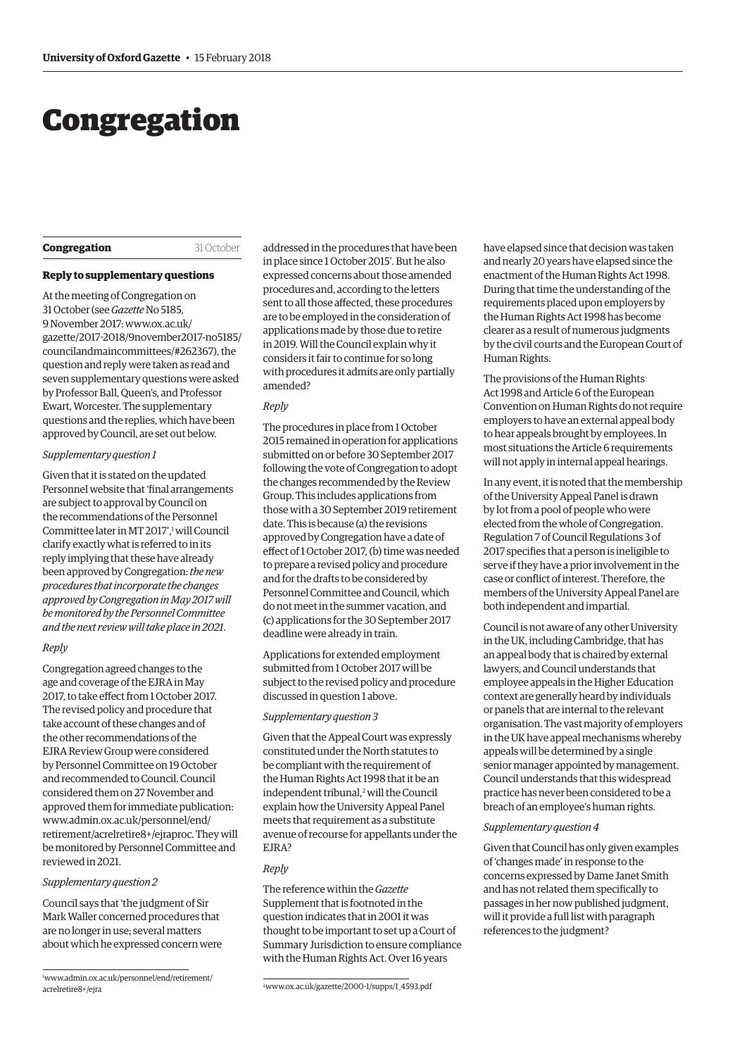## <span id="page-2-0"></span>Congregation

#### **Congregation** 31 October

#### **Reply to supplementary questions**

At the meeting of Congregation on 31 October (see *Gazette* No 5185, 9 November 2017: www.ox.ac.uk/ [gazette/2017-2018/9november2017-no5185/](www.ox.ac.uk/gazette/2017-2018/9november2017-no5185/councilandmaincommittees/#262367) councilandmaincommittees/#262367), the question and reply were taken as read and seven supplementary questions were asked by Professor Ball, Queen's, and Professor Ewart, Worcester. The supplementary questions and the replies, which have been approved by Council, are set out below.

#### *Supplementary question 1*

Given that it is stated on the updated Personnel website that 'final arrangements are subject to approval by Council on the recommendations of the Personnel Committee later in MT 2017',<sup>1</sup> will Council clarify exactly what is referred to in its reply implying that these have already been approved by Congregation: *the new procedures that incorporate the changes approved by Congregation in May 2017 will be monitored by the Personnel Committee and the next review will take place in 2021*.

#### *Reply*

Congregation agreed changes to the age and coverage of the EJRA in May 2017, to take effect from 1 October 2017. The revised policy and procedure that take account of these changes and of the other recommendations of the EJRA Review Group were considered by Personnel Committee on 19 October and recommended to Council. Council considered them on 27 November and approved them for immediate publication: www.admin.ox.ac.uk/personnel/end/ [retirement/acrelretire8+/ejraproc. They will](www.admin.ox.ac.uk/personnel/end/retirement/acrelretire8+/ejraproc)  be monitored by Personnel Committee and reviewed in 2021.

#### *Supplementary question 2*

Council says that 'the judgment of Sir Mark Waller concerned procedures that are no longer in use; several matters about which he expressed concern were

addressed in the procedures that have been in place since 1 October 2015'. But he also expressed concerns about those amended procedures and, according to the letters sent to all those affected, these procedures are to be employed in the consideration of applications made by those due to retire in 2019. Will the Council explain why it considers it fair to continue for so long with procedures it admits are only partially amended?

#### *Reply*

The procedures in place from 1 October 2015 remained in operation for applications submitted on or before 30 September 2017 following the vote of Congregation to adopt the changes recommended by the Review Group. This includes applications from those with a 30 September 2019 retirement date. This is because (a) the revisions approved by Congregation have a date of effect of 1 October 2017, (b) time was needed to prepare a revised policy and procedure and for the drafts to be considered by Personnel Committee and Council, which do not meet in the summer vacation, and (c) applications for the 30 September 2017 deadline were already in train.

Applications for extended employment submitted from 1 October 2017 will be subject to the revised policy and procedure discussed in question 1 above.

#### *Supplementary question 3*

Given that the Appeal Court was expressly constituted under the North statutes to be compliant with the requirement of the Human Rights Act 1998 that it be an independent tribunal,<sup>2</sup> will the Council explain how the University Appeal Panel meets that requirement as a substitute avenue of recourse for appellants under the EJRA?

#### *Reply*

The reference within the *Gazette* Supplement that is footnoted in the question indicates that in 2001 it was thought to be important to set up a Court of Summary Jurisdiction to ensure compliance with the Human Rights Act. Over 16 years

2 [www.ox.ac.uk/gazette/2000-1/supps/1\\_4593.pdf](www.ox.ac.uk/gazette/2000-1/supps/1_4593.pdf)

have elapsed since that decision was taken and nearly 20 years have elapsed since the enactment of the Human Rights Act 1998. During that time the understanding of the requirements placed upon employers by the Human Rights Act 1998 has become clearer as a result of numerous judgments by the civil courts and the European Court of Human Rights.

The provisions of the Human Rights Act 1998 and Article 6 of the European Convention on Human Rights do not require employers to have an external appeal body to hear appeals brought by employees. In most situations the Article 6 requirements will not apply in internal appeal hearings.

In any event, it is noted that the membership of the University Appeal Panel is drawn by lot from a pool of people who were elected from the whole of Congregation. Regulation 7 of Council Regulations 3 of 2017 specifies that a person is ineligible to serve if they have a prior involvement in the case or conflict of interest. Therefore, the members of the University Appeal Panel are both independent and impartial.

Council is not aware of any other University in the UK, including Cambridge, that has an appeal body that is chaired by external lawyers, and Council understands that employee appeals in the Higher Education context are generally heard by individuals or panels that are internal to the relevant organisation. The vast majority of employers in the UK have appeal mechanisms whereby appeals will be determined by a single senior manager appointed by management. Council understands that this widespread practice has never been considered to be a breach of an employee's human rights.

#### *Supplementary question 4*

Given that Council has only given examples of 'changes made' in response to the concerns expressed by Dame Janet Smith and has not related them specifically to passages in her now published judgment, will it provide a full list with paragraph references to the judgment?

<sup>1</sup> [www.admin.ox.ac.uk/personnel/end/retirement/](http://www.admin.ox.ac.uk/personnel/end/retirement/acrelretire8+/ejraproc/) acrelretire8+/ejra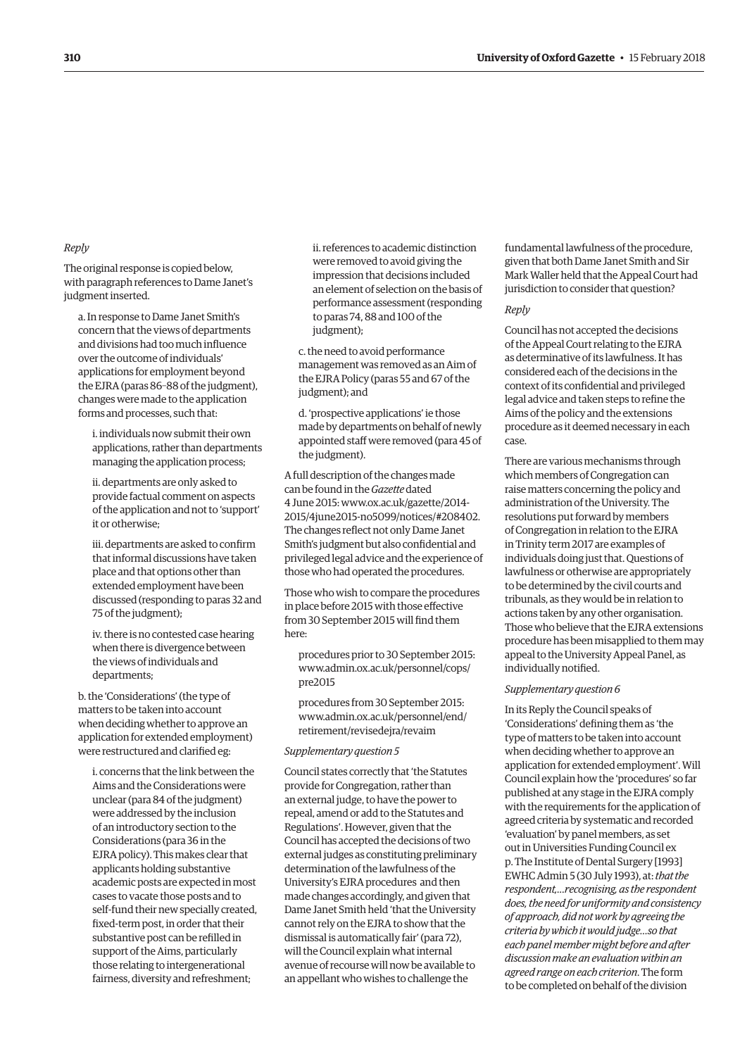#### *Reply*

The original response is copied below, with paragraph references to Dame Janet's judgment inserted.

a. In response to Dame Janet Smith's concern that the views of departments and divisions had too much influence over the outcome of individuals' applications for employment beyond the EJRA (paras 86–88 of the judgment), changes were made to the application forms and processes, such that:

i. individuals now submit their own applications, rather than departments managing the application process;

ii. departments are only asked to provide factual comment on aspects of the application and not to 'support' it or otherwise;

iii. departments are asked to confirm that informal discussions have taken place and that options other than extended employment have been discussed (responding to paras 32 and 75 of the judgment);

iv. there is no contested case hearing when there is divergence between the views of individuals and departments;

b. the 'Considerations' (the type of matters to be taken into account when deciding whether to approve an application for extended employment) were restructured and clarified eg:

i. concerns that the link between the Aims and the Considerations were unclear (para 84 of the judgment) were addressed by the inclusion of an introductory section to the Considerations (para 36 in the EJRA policy). This makes clear that applicants holding substantive academic posts are expected in most cases to vacate those posts and to self-fund their new specially created, fixed-term post, in order that their substantive post can be refilled in support of the Aims, particularly those relating to intergenerational fairness, diversity and refreshment;

ii. references to academic distinction were removed to avoid giving the impression that decisions included an element of selection on the basis of performance assessment (responding to paras 74, 88 and 100 of the judgment);

c. the need to avoid performance management was removed as an Aim of the EJRA Policy (paras 55 and 67 of the judgment); and

d. 'prospective applications' ie those made by departments on behalf of newly appointed staff were removed (para 45 of the judgment).

A full description of the changes made can be found in the *Gazette* dated 4 June 2015: [www.ox.ac.uk/gazette/2014-](http://www.ox.ac.uk/gazette/2014-2015/4june2015-no5099/notices/#208402) [2015/4june2015-no5099/notices/#208402.](http://www.ox.ac.uk/gazette/2014-2015/4june2015-no5099/notices/#208402)  The changes reflect not only Dame Janet Smith's judgment but also confidential and privileged legal advice and the experience of those who had operated the procedures.

Those who wish to compare the procedures in place before 2015 with those effective from 30 September 2015 will find them here:

procedures prior to 30 September 2015: [www.admin.ox.ac.uk/personnel/cops/](www.admin.ox.ac.uk/personnel/cops/pre2015) pre2015

procedures from 30 September 2015: [www.admin.ox.ac.uk/personnel/end/](www.admin.ox.ac.uk/personnel/end/retirement/revisedejra/revaim) retirement/revisedejra/revaim

#### *Supplementary question 5*

Council states correctly that 'the Statutes provide for Congregation, rather than an external judge, to have the power to repeal, amend or add to the Statutes and Regulations'. However, given that the Council has accepted the decisions of two external judges as constituting preliminary determination of the lawfulness of the University's EJRA procedures and then made changes accordingly, and given that Dame Janet Smith held 'that the University cannot rely on the EJRA to show that the dismissal is automatically fair' (para 72), will the Council explain what internal avenue of recourse will now be available to an appellant who wishes to challenge the

fundamental lawfulness of the procedure, given that both Dame Janet Smith and Sir Mark Waller held that the Appeal Court had jurisdiction to consider that question?

#### *Reply*

Council has not accepted the decisions of the Appeal Court relating to the EJRA as determinative of its lawfulness. It has considered each of the decisions in the context of its confidential and privileged legal advice and taken steps to refine the Aims of the policy and the extensions procedure as it deemed necessary in each case.

There are various mechanisms through which members of Congregation can raise matters concerning the policy and administration of the University. The resolutions put forward by members of Congregation in relation to the EJRA in Trinity term 2017 are examples of individuals doing just that. Questions of lawfulness or otherwise are appropriately to be determined by the civil courts and tribunals, as they would be in relation to actions taken by any other organisation. Those who believe that the EJRA extensions procedure has been misapplied to them may appeal to the University Appeal Panel, as individually notified.

#### *Supplementary question 6*

In its Reply the Council speaks of 'Considerations' defining them as 'the type of matters to be taken into account when deciding whether to approve an application for extended employment'. Will Council explain how the 'procedures' so far published at any stage in the EJRA comply with the requirements for the application of agreed criteria by systematic and recorded 'evaluation' by panel members, as set out in Universities Funding Council ex p. The Institute of Dental Surgery [1993] EWHC Admin 5 (30 July 1993), at: *thatthe respondent,…recognising, as the respondent does, the need for uniformity and consistency of approach, did not work by agreeing the criteria by which it would judge…so that each panel member might before and after discussion make an evaluation within an agreed range on each criterion*. The form to be completed on behalf of the division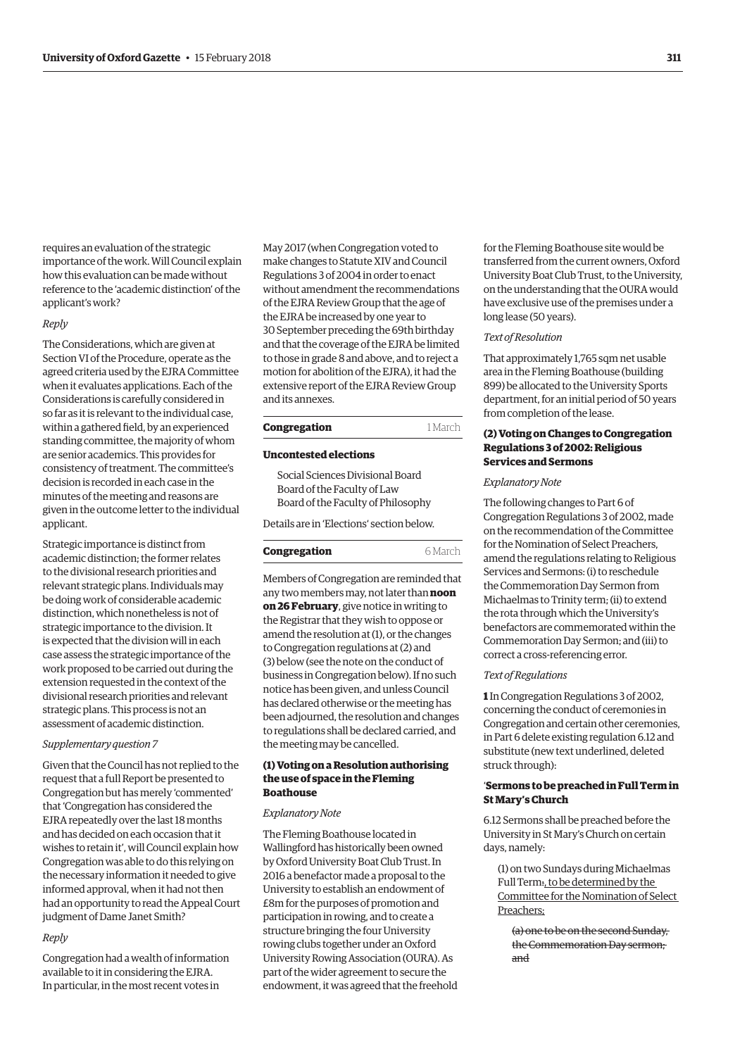requires an evaluation of the strategic importance of the work. Will Council explain how this evaluation can be made without reference to the 'academic distinction' of the applicant's work?

#### *Reply*

The Considerations, which are given at Section VI of the Procedure, operate as the agreed criteria used by the EJRA Committee when it evaluates applications. Each of the Considerations is carefully considered in so far as it is relevant to the individual case, within a gathered field, by an experienced standing committee, the majority of whom are senior academics. This provides for consistency of treatment. The committee's decision is recorded in each case in the minutes of the meeting and reasons are given in the outcome letter to the individual applicant.

Strategic importance is distinct from academic distinction; the former relates to the divisional research priorities and relevant strategic plans. Individuals may be doing work of considerable academic distinction, which nonetheless is not of strategic importance to the division. It is expected that the division will in each case assess the strategic importance of the work proposed to be carried out during the extension requested in the context of the divisional research priorities and relevant strategic plans. This process is not an assessment of academic distinction.

#### *Supplementary question 7*

Given that the Council has not replied to the request that a full Report be presented to Congregation but has merely 'commented' that 'Congregation has considered the EJRA repeatedly over the last 18 months and has decided on each occasion that it wishes to retain it', will Council explain how Congregation was able to do this relying on the necessary information it needed to give informed approval, when it had not then had an opportunity to read the Appeal Court judgment of Dame Janet Smith?

#### *Reply*

Congregation had a wealth of information available to it in considering the EJRA. In particular, in the most recent votes in

May 2017 (when Congregation voted to make changes to Statute XIV and Council Regulations 3 of 2004 in order to enact without amendment the recommendations of the EJRA Review Group that the age of the EJRA be increased by one year to 30 September preceding the 69th birthday and that the coverage of the EJRA be limited to those in grade 8 and above, and to reject a motion for abolition of the EJRA), it had the extensive report of the EJRA Review Group and its annexes.

#### **Congregation** 1 March

#### **Uncontested elections**

Social Sciences Divisional Board Board of the Faculty of Law Board of the Faculty of Philosophy

Details are in ['Elections' s](#page-8-0)ection below.

#### **Congregation** 6 March

Members of Congregation are reminded that any two members may, not later than **noon on 26 February**, give notice in writing to the Registrar that they wish to oppose or amend the resolution at (1), or the changes to Congregation regulations at (2) and (3) below (see the note on the conduct of business in Congregation below). If no such notice has been given, and unless Council has declared otherwise or the meeting has been adjourned, the resolution and changes to regulations shall be declared carried, and the meeting may be cancelled.

#### **(1) Voting on a Resolution authorising the use of space in the Fleming Boathouse**

#### *Explanatory Note*

The Fleming Boathouse located in Wallingford has historically been owned by Oxford University Boat Club Trust. In 2016 a benefactor made a proposal to the University to establish an endowment of £8m for the purposes of promotion and participation in rowing, and to create a structure bringing the four University rowing clubs together under an Oxford University Rowing Association (OURA). As part of the wider agreement to secure the endowment, it was agreed that the freehold for the Fleming Boathouse site would be transferred from the current owners, Oxford University Boat Club Trust, to the University, on the understanding that the OURA would have exclusive use of the premises under a long lease (50 years).

#### *Text of Resolution*

That approximately 1,765 sqm net usable area in the Fleming Boathouse (building 899) be allocated to the University Sports department, for an initial period of 50 years from completion of the lease.

#### **(2) Voting on Changes to Congregation Regulations 3 of 2002: Religious Services and Sermons**

#### *Explanatory Note*

The following changes to Part 6 of Congregation Regulations 3 of 2002, made on the recommendation of the Committee for the Nomination of Select Preachers, amend the regulations relating to Religious Services and Sermons: (i) to reschedule the Commemoration Day Sermon from Michaelmas to Trinity term; (ii) to extend the rota through which the University's benefactors are commemorated within the Commemoration Day Sermon; and (iii) to correct a cross-referencing error.

#### *Text of Regulations*

**1** In Congregation Regulations 3 of 2002, concerning the conduct of ceremonies in Congregation and certain other ceremonies, in Part 6 delete existing regulation 6.12 and substitute (new text underlined, deleted struck through):

#### '**Sermons to be preached in Full Term in St Mary's Church**

6.12 Sermons shall be preached before the University in St Mary's Church on certain days, namely:

(1) on two Sundays during Michaelmas Full Term:, to be determined by the Committee for the Nomination of Select Preachers;

(a) one to be on the second Sunday, the Commemoration Day sermon; and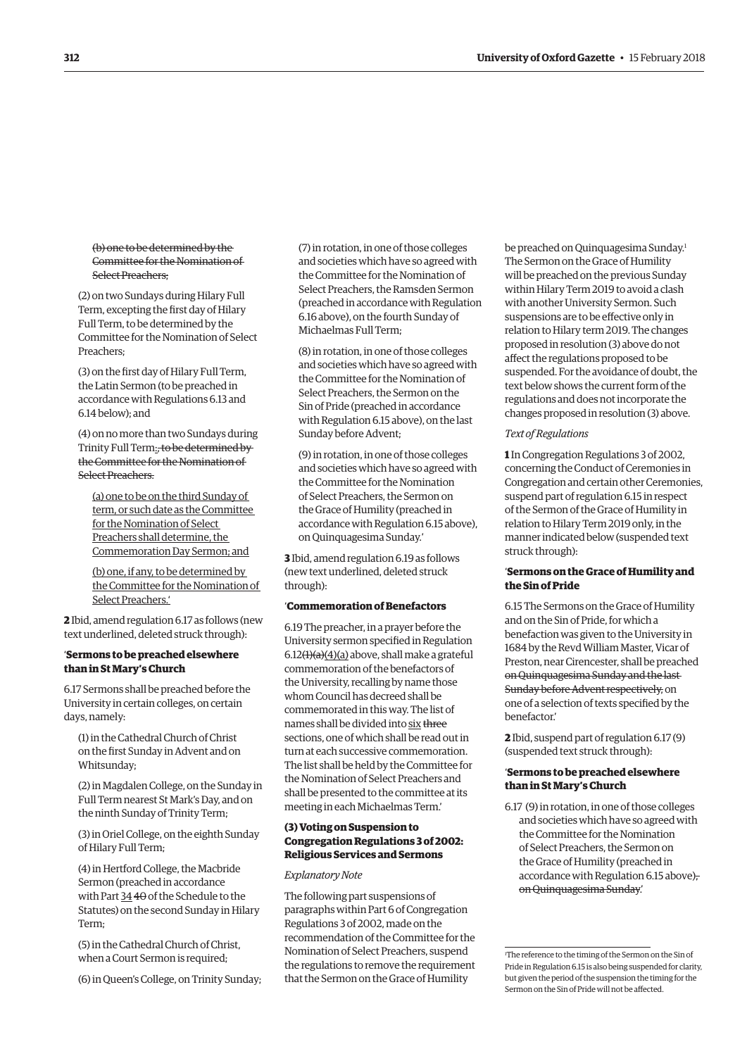#### (b) one to be determined by the Committee for the Nomination of Select Preachers;

(2) on two Sundays during Hilary Full Term, excepting the first day of Hilary Full Term, to be determined by the Committee for the Nomination of Select Preachers;

(3) on the first day of Hilary Full Term, the Latin Sermon (to be preached in accordance with Regulations 6.13 and 6.14 below); and

(4) on no more than two Sundays during Trinity Full Term:, to be determined by the Committee for the Nomination of Select Preachers.

(a) one to be on the third Sunday of term, or such date as the Committee for the Nomination of Select Preachers shall determine, the Commemoration Day Sermon; and

(b) one, if any, to be determined by the Committee for the Nomination of Select Preachers.'

**2** Ibid, amend regulation 6.17 as follows (new text underlined, deleted struck through):

#### '**Sermons to be preached elsewhere than in St Mary's Church**

6.17 Sermons shall be preached before the University in certain colleges, on certain days, namely:

(1) in the Cathedral Church of Christ on the first Sunday in Advent and on Whitsunday;

(2) in Magdalen College, on the Sunday in Full Term nearest St Mark's Day, and on the ninth Sunday of Trinity Term;

(3) in Oriel College, on the eighth Sunday of Hilary Full Term;

(4) in Hertford College, the Macbride Sermon (preached in accordance with Part 34 40 of the Schedule to the Statutes) on the second Sunday in Hilary Term;

(5) in the Cathedral Church of Christ, when a Court Sermon is required;

(6) in Queen's College, on Trinity Sunday;

(7) in rotation, in one of those colleges and societies which have so agreed with the Committee for the Nomination of Select Preachers, the Ramsden Sermon (preached in accordance with Regulation 6.16 above), on the fourth Sunday of Michaelmas Full Term;

(8) in rotation, in one of those colleges and societies which have so agreed with the Committee for the Nomination of Select Preachers, the Sermon on the Sin of Pride (preached in accordance with Regulation 6.15 above), on the last Sunday before Advent;

(9) in rotation, in one of those colleges and societies which have so agreed with the Committee for the Nomination of Select Preachers, the Sermon on the Grace of Humility (preached in accordance with Regulation 6.15 above), on Quinquagesima Sunday.'

**3** Ibid, amend regulation 6.19 as follows (new text underlined, deleted struck through):

#### '**Commemoration of Benefactors**

6.19 The preacher, in a prayer before the University sermon specified in Regulation  $6.12<sup>(1)</sup>(a)(a)$  above, shall make a grateful commemoration of the benefactors of the University, recalling by name those whom Council has decreed shall be commemorated in this way. The list of names shall be divided into six three sections, one of which shall be read out in turn at each successive commemoration. The list shall be held by the Committee for the Nomination of Select Preachers and shall be presented to the committee at its meeting in each Michaelmas Term.'

#### **(3) Voting on Suspension to Congregation Regulations 3 of 2002: Religious Services and Sermons**

#### *Explanatory Note*

The following part suspensions of paragraphs within Part 6 of Congregation Regulations 3 of 2002, made on the recommendation of the Committee for the Nomination of Select Preachers, suspend the regulations to remove the requirement that the Sermon on the Grace of Humility

be preached on Ouinquagesima Sunday.<sup>1</sup> The Sermon on the Grace of Humility will be preached on the previous Sunday within Hilary Term 2019 to avoid a clash with another University Sermon. Such suspensions are to be effective only in relation to Hilary term 2019. The changes proposed in resolution (3) above do not affect the regulations proposed to be suspended. For the avoidance of doubt, the text below shows the current form of the regulations and does not incorporate the changes proposed in resolution (3) above.

#### *Text of Regulations*

**1** In Congregation Regulations 3 of 2002, concerning the Conduct of Ceremonies in Congregation and certain other Ceremonies, suspend part of regulation 6.15 in respect of the Sermon of the Grace of Humility in relation to Hilary Term 2019 only, in the manner indicated below (suspended text struck through):

#### '**Sermons on the Grace of Humility and the Sin of Pride**

6.15 The Sermons on the Grace of Humility and on the Sin of Pride, for which a benefaction was given to the University in 1684 by the Revd William Master, Vicar of Preston, near Cirencester, shall be preached on Quinquagesima Sunday and the last Sunday before Advent respectively, on one of a selection of texts specified by the benefactor.'

**2** Ibid, suspend part of regulation 6.17 (9) (suspended text struck through):

#### '**Sermons to be preached elsewhere than in St Mary's Church**

6.17 (9) in rotation, in one of those colleges and societies which have so agreed with the Committee for the Nomination of Select Preachers, the Sermon on the Grace of Humility (preached in accordance with Regulation 6.15 above), on Quinquagesima Sunday.'

1 The reference to the timing of the Sermon on the Sin of Pride in Regulation 6.15 is also being suspended for clarity, but given the period of the suspension the timing for the Sermon on the Sin of Pride will not be affected.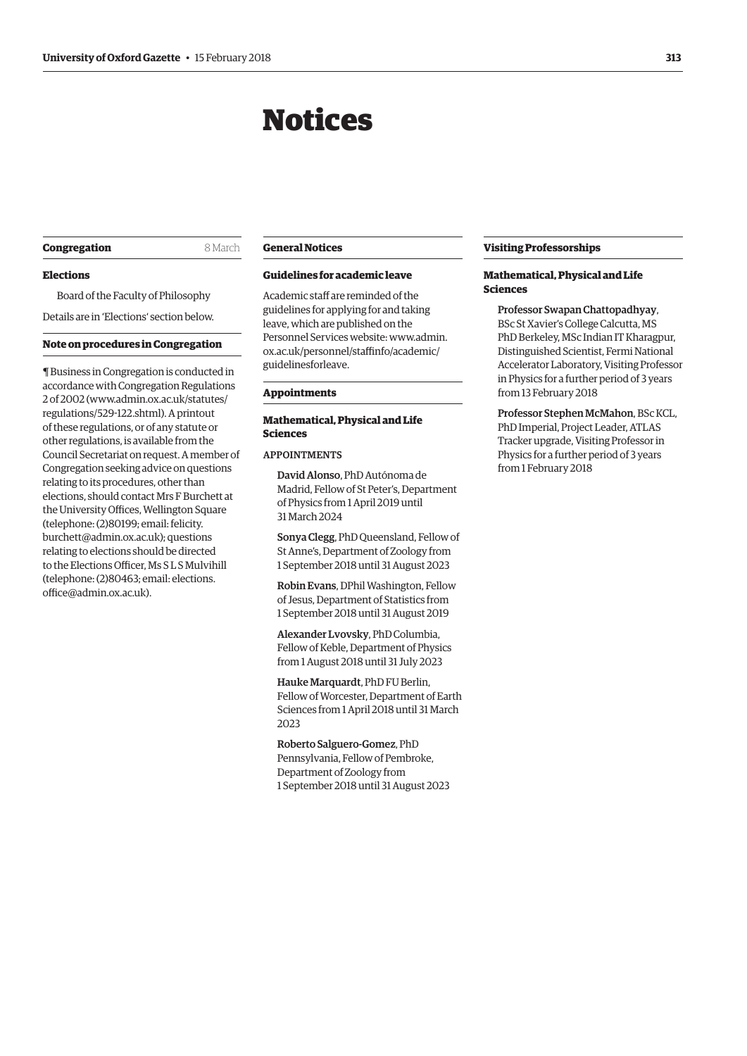## Notices

#### <span id="page-6-0"></span>**Congregation** 8 March

#### **Elections**

Board of the Faculty of Philosophy Details are in ['Elections'](#page-8-0) section below.

#### **Note on procedures in Congregation**

¶ Business in Congregation is conducted in accordance with Congregation Regulations 2 of 2002 [\(www.admin.ox.ac.uk/statutes/](http://www.admin.ox.ac.uk/statutes/regulations/529-122.shtml) [regulations/529-122.shtml\). A](http://www.admin.ox.ac.uk/statutes/regulations/529-122.shtml) printout of these regulations, or of any statute or other regulations, is available from the Council Secretariat on request. A member of Congregation seeking advice on questions relating to its procedures, other than elections, should contact Mrs F Burchett at the University Offices, Wellington Square (telephone: (2)80199; email: felicity. [burchett@admin.ox.ac.uk\); questions](mailto:felicity.burchett@admin.ox.ac.uk)  relating to elections should be directed to the Elections Officer, Ms S L S Mulvihill [\(telephone: \(2\)80463; email: elections.](mailto:elections.office@admin.ox.ac.uk) office@admin.ox.ac.uk).

#### **General Notices**

#### **Guidelines for academic leave**

Academic staff are reminded of the guidelines for applying for and taking leave, which are published on the [Personnel Services website: www.admin.](www.admin.ox.ac.uk/personnel/staffinfo/academic/guidelinesforleave) ox.ac.uk/personnel/staffinfo/academic/ guidelinesforleave.

#### **Appointments**

#### **Mathematical, Physical and Life Sciences**

#### APPOINTMENTS

David Alonso, PhD Autónoma de Madrid, Fellow of St Peter's, Department of Physics from 1 April 2019 until 31 March 2024

Sonya Clegg, PhD Queensland, Fellow of St Anne's, Department of Zoology from 1 September 2018 until 31 August 2023

Robin Evans, DPhil Washington, Fellow of Jesus, Department of Statistics from 1 September 2018 until 31 August 2019

Alexander Lvovsky, PhD Columbia, Fellow of Keble, Department of Physics from 1 August 2018 until 31 July 2023

Hauke Marquardt, PhD FU Berlin, Fellow of Worcester, Department of Earth Sciences from 1 April 2018 until 31 March 2023

Roberto Salguero-Gomez, PhD Pennsylvania, Fellow of Pembroke, Department of Zoology from 1 September 2018 until 31 August 2023

#### **Visiting Professorships**

#### **Mathematical, Physical and Life Sciences**

Professor Swapan Chattopadhyay, BSc St Xavier's College Calcutta, MS PhD Berkeley, MSc Indian IT Kharagpur, Distinguished Scientist, Fermi National Accelerator Laboratory, Visiting Professor in Physics for a further period of 3 years from 13 February 2018

Professor Stephen McMahon, BSc KCL, PhD Imperial, Project Leader, ATLAS Tracker upgrade, Visiting Professor in Physics for a further period of 3 years from 1 February 2018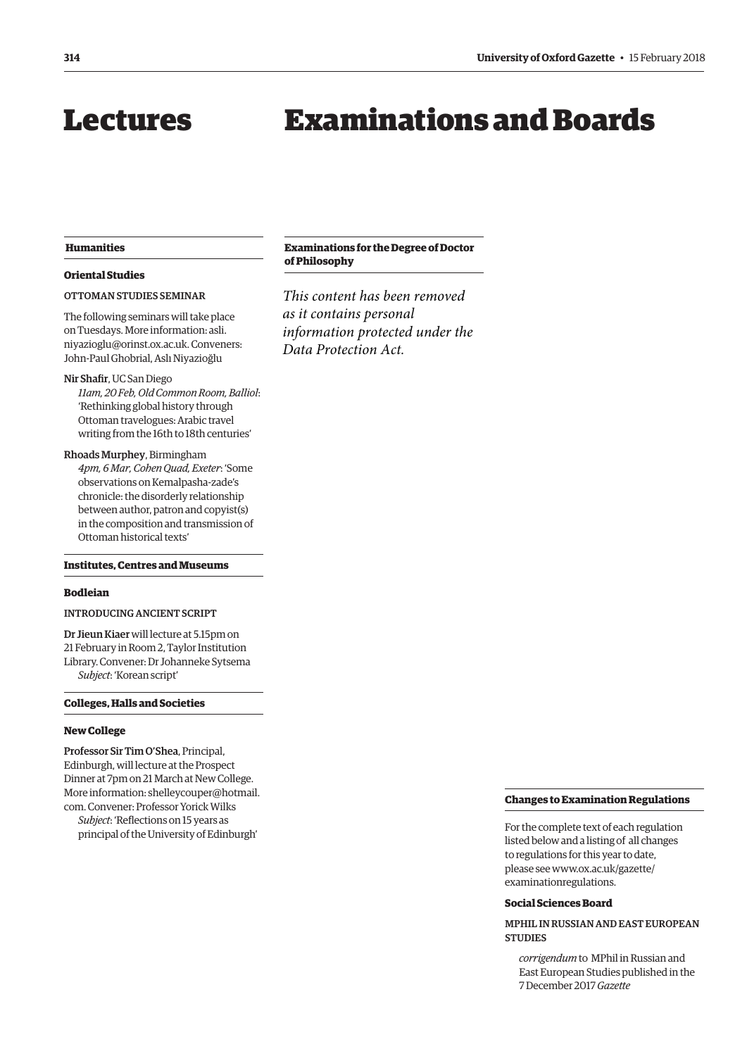## <span id="page-7-0"></span>Lectures

## Examinations and Boards

#### **Humanities**

#### **Oriental Studies**

#### OTTOMAN STUDIES SEMINAR

The following seminars will take place on Tuesdays. More information: asli. [niyazioglu@orinst.ox.ac.uk. Conveners:](mailto:asli.niyazioglu@orinst.ox.ac.uk)  John-Paul Ghobrial, Aslı Niyazioğlu

#### Nir Shafir, UC San Diego

*11am, 20 Feb, Old Common Room, Balliol*: 'Rethinking global history through Ottoman travelogues: Arabic travel writing from the 16th to 18th centuries'

Rhoads Murphey, Birmingham *4pm, 6 Mar, Cohen Quad, Exeter*: 'Some observations on Kemalpasha-zade's chronicle: the disorderly relationship between author, patron and copyist(s) in the composition and transmission of Ottoman historical texts'

#### **Institutes, Centres and Museums**

#### **Bodleian**

#### INTRODUCING ANCIENT SCRIPT

Dr Jieun Kiaer will lecture at 5.15pm on 21 February in Room 2, Taylor Institution Library. Convener: Dr Johanneke Sytsema *Subject*: 'Korean script'

**Colleges, Halls and Societies**

#### **New College**

Professor Sir Tim O'Shea, Principal, Edinburgh, will lecture at the Prospect Dinner at 7pm on 21 March at New College. [More information: shelleycouper@hotmail.](mailto:shelleycouper@hotmail.com) com. Convener: Professor Yorick Wilks *Subject*: 'Reflections on 15 years as principal of the University of Edinburgh'

#### **Examinations for the Degree of Doctor of Philosophy**

*This content has been removed as it contains personal information protected under the Data Protection Act.*

#### **Changes to Examination Regulations**

For the complete text of each regulation listed below and a listing of all changes to regulations for this year to date, [please see www.ox.ac.uk/gazette/](www.ox.ac.uk/gazette/examinationregulations) examinationregulations.

#### **Social Sciences Board**

MPHIL IN RUSSIAN AND EAST EUROPEAN **STUDIES** 

*corrigendum* to MPhil in Russian and East European Studies published in the 7 December 2017 *Gazette*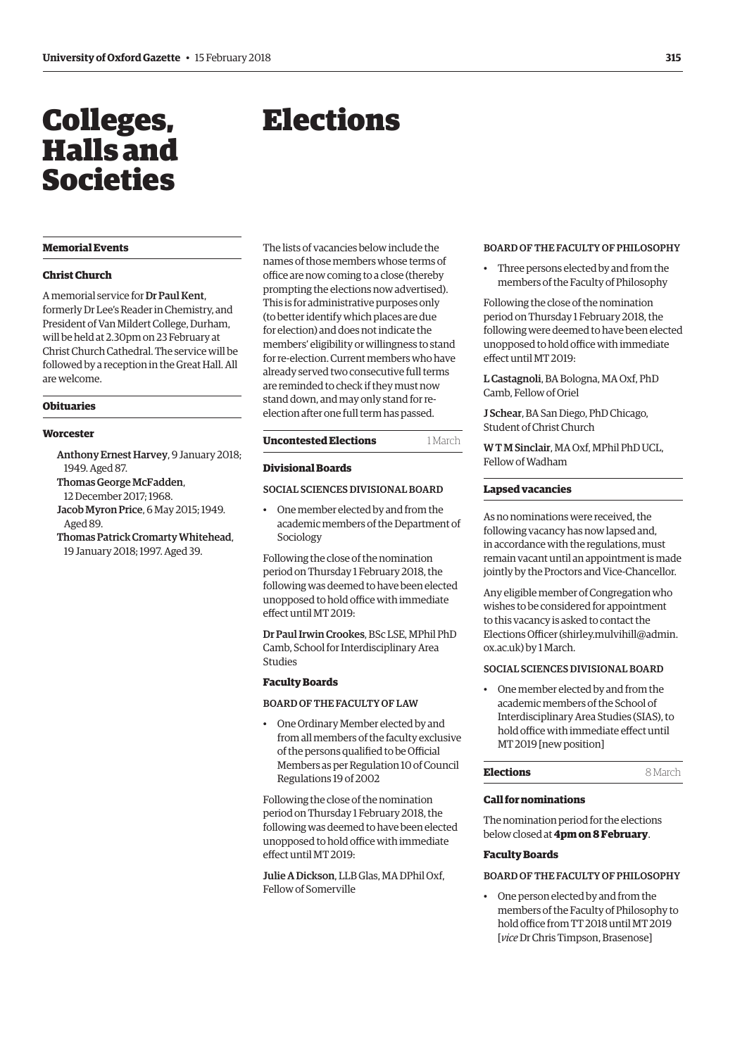## <span id="page-8-0"></span>Colleges, Halls and Societies

## Elections

#### **Memorial Events**

#### **Christ Church**

A memorial service for Dr Paul Kent, formerly Dr Lee's Reader in Chemistry, and President of Van Mildert College, Durham, will be held at 2.30pm on 23 February at Christ Church Cathedral. The service will be followed by a reception in the Great Hall. All are welcome.

### **Obituaries**

#### **Worcester**

- Anthony Ernest Harvey, 9 January 2018; 1949. Aged 87.
- Thomas George McFadden, 12 December 2017; 1968.
- Jacob Myron Price, 6 May 2015; 1949.
- Aged 89.
- Thomas Patrick Cromarty Whitehead, 19 January 2018; 1997. Aged 39.

The lists of vacancies below include the names of those members whose terms of office are now coming to a close (thereby prompting the elections now advertised). This is for administrative purposes only (to better identify which places are due for election) and does not indicate the members' eligibility or willingness to stand for re-election. Current members who have already served two consecutive full terms are reminded to check if they must now stand down, and may only stand for reelection after one full term has passed.

#### **Uncontested Elections** 1 March

#### **Divisional Boards**

#### SOCIAL SCIENCES DIVISIONAL BOARD

• One member elected by and from the academic members of the Department of Sociology

Following the close of the nomination period on Thursday 1 February 2018, the following was deemed to have been elected unopposed to hold office with immediate effect until MT 2019:

Dr Paul Irwin Crookes, BSc LSE, MPhil PhD Camb, School for Interdisciplinary Area Studies

#### **Faculty Boards**

#### BOARD OF THE FACULTY OF LAW

• One Ordinary Member elected by and from all members of the faculty exclusive of the persons qualified to be Official Members as per Regulation 10 of Council Regulations 19 of 2002

Following the close of the nomination period on Thursday 1 February 2018, the following was deemed to have been elected unopposed to hold office with immediate effect until MT 2019:

Julie A Dickson, LLB Glas, MA DPhil Oxf, Fellow of Somerville

#### BOARD OF THE FACULTY OF PHILOSOPHY

• Three persons elected by and from the members of the Faculty of Philosophy

Following the close of the nomination period on Thursday 1 February 2018, the following were deemed to have been elected unopposed to hold office with immediate effect until MT 2019:

L Castagnoli, BA Bologna, MA Oxf, PhD Camb, Fellow of Oriel

J Schear, BA San Diego, PhD Chicago, Student of Christ Church

W T M Sinclair, MA Oxf, MPhil PhD UCL, Fellow of Wadham

#### **Lapsed vacancies**

As no nominations were received, the following vacancy has now lapsed and, in accordance with the regulations, must remain vacant until an appointment is made jointly by the Proctors and Vice-Chancellor.

Any eligible member of Congregation who wishes to be considered for appointment to this vacancy is asked to contact the Elections Officer [\(shirley.mulvihill@admin.](mailto:shirley.mulvihill@admin.ox.ac.uk) [ox.ac.uk\) by](mailto:shirley.mulvihill@admin.ox.ac.uk) 1 March.

#### SOCIAL SCIENCES DIVISIONAL BOARD

• One member elected by and from the academic members of the School of Interdisciplinary Area Studies (SIAS), to hold office with immediate effect until MT 2019 [new position]

**Elections** 8 March

#### **Call for nominations**

The nomination period for the elections below closed at **4pm on 8 February**.

#### **Faculty Boards**

#### BOARD OF THE FACULTY OF PHILOSOPHY

• One person elected by and from the members of the Faculty of Philosophy to hold office from TT 2018 until MT 2019 [*vice* Dr Chris Timpson, Brasenose]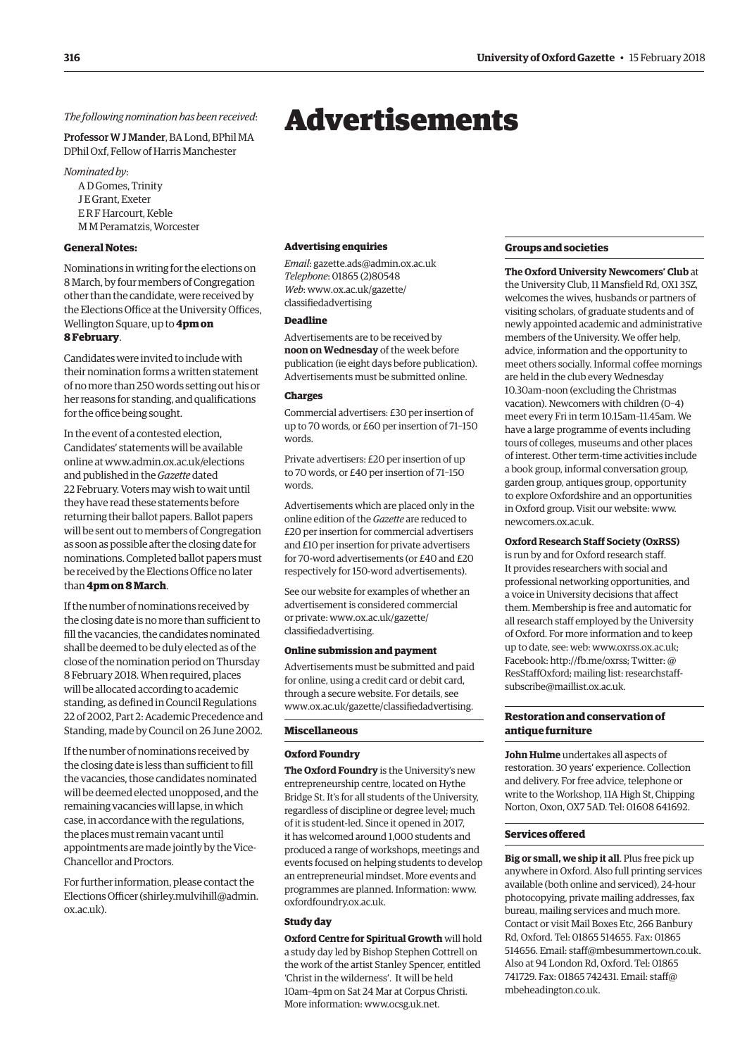#### <span id="page-9-0"></span>*The following nomination has been received*:

Professor W J Mander, BA Lond, BPhil MA DPhil Oxf, Fellow of Harris Manchester

*Nominated by*:

A D Gomes, Trinity J E Grant, Exeter E R F Harcourt, Keble M M Peramatzis, Worcester

#### **General Notes:**

Nominations in writing for the elections on 8 March, by four members of Congregation other than the candidate, were received by the Elections Office at the University Offices, Wellington Square, up to **4pm on 8 February**.

Candidates were invited to include with their nomination forms a written statement of no more than 250 words setting out his or her reasons for standing, and qualifications for the office being sought.

In the event of a contested election, Candidates' statements will be available online at [www.admin.ox.ac.uk/elections](http://www.admin.ox.ac.uk/elections)  and published in the *Gazette* dated 22 February. Voters may wish to wait until they have read these statements before returning their ballot papers. Ballot papers will be sent out to members of Congregation as soon as possible after the closing date for nominations. Completed ballot papers must be received by the Elections Office no later than **4pm on 8 March**.

If the number of nominations received by the closing date is no more than sufficient to fill the vacancies, the candidates nominated shall be deemed to be duly elected as of the close of the nomination period on Thursday 8 February 2018. When required, places will be allocated according to academic standing, as defined in Council Regulations 22 of 2002, Part 2: Academic Precedence and Standing, made by Council on 26 June 2002.

If the number of nominations received by the closing date is less than sufficient to fill the vacancies, those candidates nominated will be deemed elected unopposed, and the remaining vacancies will lapse, in which case, in accordance with the regulations, the places must remain vacant until appointments are made jointly by the Vice-Chancellor and Proctors.

For further information, please contact the Elections Officer [\(shirley.mulvihill@admin.](mailto:shirley.mulvihill@admin.ox.ac.uk) [ox.ac.uk\).](mailto:shirley.mulvihill@admin.ox.ac.uk) 

#### **Advertising enquiries**

*Email*: [gazette.ads@admin.ox.ac.uk](mailto:gazette.ads@admin.ox.ac.uk)  *Telephone*: 01865 (2)80548 *Web*[: www.ox.ac.uk/gazette/](www.ox.ac.uk/gazette/classifiedadvertising) classifiedadvertising

#### **Deadline**

Advertisements are to be received by **noon on Wednesday** of the week before publication (ie eight days before publication). Advertisements must be submitted online.

#### **Charges**

Commercial advertisers: £30 per insertion of up to 70 words, or £60 per insertion of 71–150 words.

Private advertisers: £20 per insertion of up to 70 words, or £40 per insertion of 71–150 words.

Advertisements which are placed only in the online edition of the *Gazette* are reduced to £20 per insertion for commercial advertisers and £10 per insertion for private advertisers for 70-word advertisements (or £40 and £20 respectively for 150-word advertisements).

See our website for examples of whether an advertisement is considered commercial [or private: www.ox.ac.uk/gazette/](www.ox.ac.uk/gazette/classifiedadvertising) classifiedadvertising.

#### **Online submission and payment**

Advertisements must be submitted and paid for online, using a credit card or debit card, through a secure website. For details, see [www.ox.ac.uk/gazette/classifiedadvertising.](http://www.ox.ac.uk/gazette/classifiedadvertising)

#### **Miscellaneous**

#### **Oxford Foundry**

**The Oxford Foundry** is the University's new entrepreneurship centre, located on Hythe Bridge St. It's for all students of the University, regardless of discipline or degree level; much of it is student-led. Since it opened in 2017, it has welcomed around 1,000 students and produced a range of workshops, meetings and events focused on helping students to develop an entrepreneurial mindset. More events and programmes are planned. Information: [www.](http://www.oxfordfoundry.ox.ac.uk) [oxfordfoundry.ox.ac.uk.](http://www.oxfordfoundry.ox.ac.uk)

#### **Study day**

**Oxford Centre for Spiritual Growth** will hold a study day led by Bishop Stephen Cottrell on the work of the artist Stanley Spencer, entitled 'Christ in the wilderness'. It will be held 10am–4pm on Sat 24 Mar at Corpus Christi. More information: [www.ocsg.uk.net.](http://www.ocsg.uk.net)

#### **Groups and societies**

**The Oxford University Newcomers' Club** at the University Club, 11 Mansfield Rd, OX1 3SZ, welcomes the wives, husbands or partners of visiting scholars, of graduate students and of newly appointed academic and administrative members of the University. We offer help, advice, information and the opportunity to meet others socially. Informal coffee mornings are held in the club every Wednesday 10.30am–noon (excluding the Christmas vacation). Newcomers with children (0–4) meet every Fri in term 10.15am–11.45am. We have a large programme of events including tours of colleges, museums and other places of interest. Other term-time activities include a book group, informal conversation group, garden group, antiques group, opportunity to explore Oxfordshire and an opportunities in Oxford group. Visit our website: [www.](http://www.newcomers.ox.ac.uk) [newcomers.ox.ac.uk.](http://www.newcomers.ox.ac.uk)

#### **Oxford Research Staff Society (OxRSS)**

is run by and for Oxford research staff. It provides researchers with social and professional networking opportunities, and a voice in University decisions that affect them. Membership is free and automatic for all research staff employed by the University of Oxford. For more information and to keep up to date, see: web: [www.oxrss.ox.ac.uk;](http://www.oxrss.ox.ac.uk)  Facebook: [http://fb.me/oxrss; Tw](http://fb.me/oxrss)itter: @ [ResStaffOxford; mailing list: researchstaff](mailto:researchstaff-subscribe@maillist.ox.ac.uk)subscribe[@maillist.ox.ac.uk.](mailto:researchstaff-subscribe@maillist.ox.ac.uk)

#### **Restoration and conservation of antique furniture**

**John Hulme** undertakes all aspects of restoration. 30 years' experience. Collection and delivery. For free advice, telephone or write to the Workshop, 11A High St, Chipping Norton, Oxon, OX7 5AD. Tel: 01608 641692.

#### **Services offered**

**Big or small, we ship it all**. Plus free pick up anywhere in Oxford. Also full printing services available (both online and serviced), 24-hour photocopying, private mailing addresses, fax bureau, mailing services and much more. Contact or visit Mail Boxes Etc, 266 Banbury Rd, Oxford. Tel: 01865 514655. Fax: 01865 514656. Email: [staff@mbesummertown.co.uk.](mailto:staff@mbesummertown.co.uk)  Also at 94 London Rd, Oxford. Tel: 01865 [741729. Fax: 01865 742431. Email: staff@](mailto:staff@mbeheadington.co.uk) mbeheadington.co.uk.

## Advertisements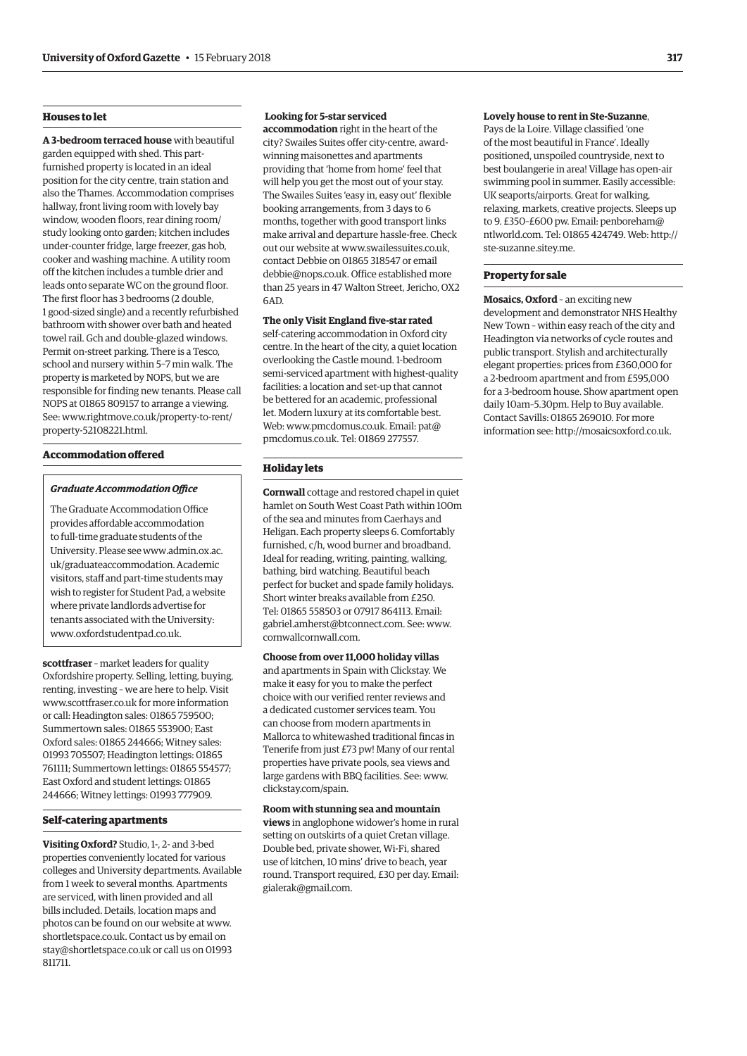#### **Houses to let**

**A 3-bedroom terraced house** with beautiful garden equipped with shed. This partfurnished property is located in an ideal position for the city centre, train station and also the Thames. Accommodation comprises hallway, front living room with lovely bay window, wooden floors, rear dining room/ study looking onto garden; kitchen includes under-counter fridge, large freezer, gas hob, cooker and washing machine. A utility room off the kitchen includes a tumble drier and leads onto separate WC on the ground floor. The first floor has 3 bedrooms (2 double, 1 good-sized single) and a recently refurbished bathroom with shower over bath and heated towel rail. Gch and double-glazed windows. Permit on-street parking. There is a Tesco, school and nursery within 5–7 min walk. The property is marketed by NOPS, but we are responsible for finding new tenants. Please call NOPS at 01865 809157 to arrange a viewing. [See: www.rightmove.co.uk/property-to-rent/](www.rightmove.co.uk/property-to-rent/property-52108221.html) property-52108221.html.

#### **Accommodation offered**

#### *Graduate Accommodation Office*

The Graduate Accommodation Office provides affordable accommodation to full-time graduate students of the [University. Please see www.admin.ox.ac.](www.admin.ox.ac.uk/graduateaccommodation) uk/graduateaccommodation. Academic visitors, staff and part-time students may wish to register for Student Pad, a website where private landlords advertise for tenants associated with the University: [www.oxfordstudentpad.co.uk.](http://www.oxfordstudentpad.co.uk)

**scottfraser** – market leaders for quality Oxfordshire property. Selling, letting, buying, renting, investing – we are here to help. Visit [www.scottfraser.co.uk fo](http://www.scottfraser.co.uk)r more information or call: Headington sales: 01865 759500; Summertown sales: 01865 553900; East Oxford sales: 01865 244666; Witney sales: 01993 705507; Headington lettings: 01865 761111; Summertown lettings: 01865 554577; East Oxford and student lettings: 01865 244666; Witney lettings: 01993 777909.

#### **Self-catering apartments**

**Visiting Oxford?** Studio, 1-, 2- and 3-bed properties conveniently located for various colleges and University departments. Available from 1 week to several months. Apartments are serviced, with linen provided and all bills included. Details, location maps and photos can be found on our website at [www.](http://www.shortletspace.co.uk) [shortletspace.co.uk. Co](http://www.shortletspace.co.uk)ntact us by email on [stay@shortletspace.co.uk or](mailto:stay@shortletspace.co.uk) call us on 01993 811711.

#### **Looking for 5-star serviced**

**accommodation** right in the heart of the city? Swailes Suites offer city-centre, awardwinning maisonettes and apartments providing that 'home from home' feel that will help you get the most out of your stay. The Swailes Suites 'easy in, easy out' flexible booking arrangements, from 3 days to 6 months, together with good transport links make arrival and departure hassle-free. Check out our website at [www.swailessuites.co.uk,](http://www.swailessuites.co.uk)  contact Debbie on 01865 318547 or email [debbie@nops.co.uk. Of](mailto:debbie@nops.co.uk)fice established more than 25 years in 47 Walton Street, Jericho, OX2 6AD.

**The only Visit England five-star rated**

self-catering accommodation in Oxford city centre. In the heart of the city, a quiet location overlooking the Castle mound. 1-bedroom semi-serviced apartment with highest-quality facilities: a location and set-up that cannot be bettered for an academic, professional let. Modern luxury at its comfortable best. Web: [www.pmcdomus.co.uk. Em](http://www.pmcdomus.co.uk)ail: pat@ pmcdomus.co.uk. Tel: 01869 277557.

#### **Holiday lets**

**Cornwall** cottage and restored chapel in quiet hamlet on South West Coast Path within 100m of the sea and minutes from Caerhays and Heligan. Each property sleeps 6. Comfortably furnished, c/h, wood burner and broadband. Ideal for reading, writing, painting, walking, bathing, bird watching. Beautiful beach perfect for bucket and spade family holidays. Short winter breaks available from £250. Tel: 01865 558503 or 07917 864113. Email: [gabriel.amherst@btconnect.com. Se](mailto:gabriel.amherst@btconnect.com)e: [www.](http://www.cornwallcornwall.com) [cornwallcornwall.com.](http://www.cornwallcornwall.com)

**Choose from over 11,000 holiday villas** and apartments in Spain with Clickstay. We make it easy for you to make the perfect choice with our verified renter reviews and a dedicated customer services team. You can choose from modern apartments in Mallorca to whitewashed traditional fincas in Tenerife from just £73 pw! Many of our rental properties have private pools, sea views and large gardens with BBQ facilities. See: [www.](http://www.clickstay.com/spain) [clickstay.com/spain.](http://www.clickstay.com/spain)

#### **Room with stunning sea and mountain**

**views** in anglophone widower's home in rural setting on outskirts of a quiet Cretan village. Double bed, private shower, Wi-Fi, shared use of kitchen, 10 mins' drive to beach, year round. Transport required, £30 per day. Email: [gialerak@gmail.com.](mailto:gialerak@gmail.com)

#### **Lovely house to rent in Ste-Suzanne**,

Pays de la Loire. Village classified 'one of the most beautiful in France'. Ideally positioned, unspoiled countryside, next to best boulangerie in area! Village has open-air swimming pool in summer. Easily accessible: UK seaports/airports. Great for walking, relaxing, markets, creative projects. Sleeps up to 9. £350–£600 pw. Email: penboreham@ ntlworld.com. Tel: 01865 424749. Web: [http://](http://ste-suzanne.sitey.me) [ste-suzanne.sitey.me.](http://ste-suzanne.sitey.me)

#### **Property for sale**

**Mosaics, Oxford** – an exciting new development and demonstrator NHS Healthy New Town – within easy reach of the city and Headington via networks of cycle routes and public transport. Stylish and architecturally elegant properties: prices from £360,000 for a 2-bedroom apartment and from £595,000 for a 3-bedroom house. Show apartment open daily 10am–5.30pm. Help to Buy available. Contact Savills: 01865 269010. For more information see: [http://mosaicsoxford.co.uk.](http://mosaicsoxford.co.uk)